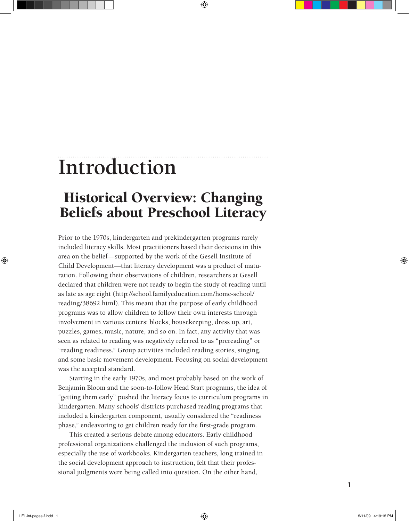# **Introduction**

# Historical Overview: Changing Beliefs about Preschool Literacy

Prior to the 1970s, kindergarten and prekindergarten programs rarely included literacy skills. Most practitioners based their decisions in this area on the belief—supported by the work of the Gesell Institute of Child Development—that literacy development was a product of maturation. Following their observations of children, researchers at Gesell declared that children were not ready to begin the study of reading until as late as age eight (http://school.familyeducation.com/home-school/ reading/38692.html). This meant that the purpose of early childhood programs was to allow children to follow their own interests through involvement in various centers: blocks, housekeeping, dress up, art, puzzles, games, music, nature, and so on. In fact, any activity that was seen as related to reading was negatively referred to as "prereading" or "reading readiness." Group activities included reading stories, singing, and some basic movement development. Focusing on social development was the accepted standard.

Starting in the early 1970s, and most probably based on the work of Benjamin Bloom and the soon-to-follow Head Start programs, the idea of "getting them early" pushed the literacy focus to curriculum programs in kindergarten. Many schools' districts purchased reading programs that included a kindergarten component, usually considered the "readiness phase," endeavoring to get children ready for the first-grade program.

This created a serious debate among educators. Early childhood professional organizations challenged the inclusion of such programs, especially the use of workbooks. Kindergarten teachers, long trained in the social development approach to instruction, felt that their professional judgments were being called into question. On the other hand,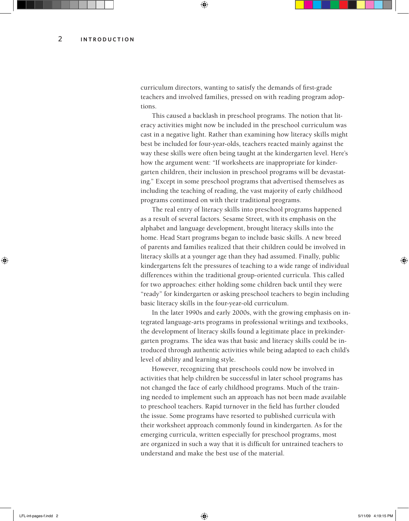curriculum directors, wanting to satisfy the demands of first-grade teachers and involved families, pressed on with reading program adoptions.

This caused a backlash in preschool programs. The notion that literacy activities might now be included in the preschool curriculum was cast in a negative light. Rather than examining how literacy skills might best be included for four-year-olds, teachers reacted mainly against the way these skills were often being taught at the kindergarten level. Here's how the argument went: "If worksheets are inappropriate for kindergarten children, their inclusion in preschool programs will be devastating." Except in some preschool programs that advertised themselves as including the teaching of reading, the vast majority of early childhood programs continued on with their traditional programs.

The real entry of literacy skills into preschool programs happened as a result of several factors. Sesame Street, with its emphasis on the alphabet and language development, brought literacy skills into the home. Head Start programs began to include basic skills. A new breed of parents and families realized that their children could be involved in literacy skills at a younger age than they had assumed. Finally, public kindergartens felt the pressures of teaching to a wide range of individual differences within the traditional group-oriented curricula. This called for two approaches: either holding some children back until they were "ready" for kindergarten or asking preschool teachers to begin including basic literacy skills in the four-year-old curriculum.

In the later 1990s and early 2000s, with the growing emphasis on integrated language-arts programs in professional writings and textbooks, the development of literacy skills found a legitimate place in prekindergarten programs. The idea was that basic and literacy skills could be introduced through authentic activities while being adapted to each child's level of ability and learning style.

However, recognizing that preschools could now be involved in activities that help children be successful in later school programs has not changed the face of early childhood programs. Much of the training needed to implement such an approach has not been made available to preschool teachers. Rapid turnover in the field has further clouded the issue. Some programs have resorted to published curricula with their worksheet approach commonly found in kindergarten. As for the emerging curricula, written especially for preschool programs, most are organized in such a way that it is difficult for untrained teachers to understand and make the best use of the material.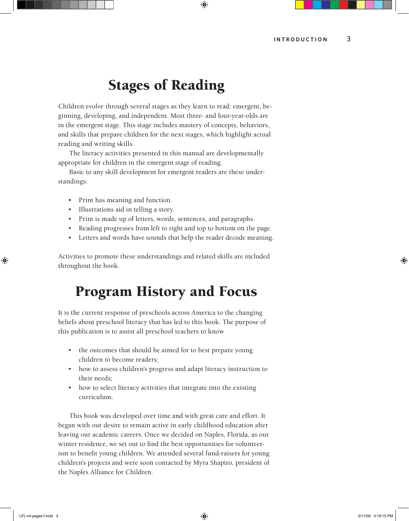# Stages of Reading

Children evolve through several stages as they learn to read: emergent, beginning, developing, and independent. Most three- and four-year-olds are in the emergent stage. This stage includes mastery of concepts, behaviors, and skills that prepare children for the next stages, which highlight actual reading and writing skills.

The literacy activities presented in this manual are developmentally appropriate for children in the emergent stage of reading.

Basic to any skill development for emergent readers are these understandings:

- Print has meaning and function.
- Illustrations aid in telling a story.
- Print is made up of letters, words, sentences, and paragraphs.
- Reading progresses from left to right and top to bottom on the page.
- Letters and words have sounds that help the reader decode meaning.

Activities to promote these understandings and related skills are included throughout the book.

# Program History and Focus

It is the current response of preschools across America to the changing beliefs about preschool literacy that has led to this book. The purpose of this publication is to assist all preschool teachers to know

- the outcomes that should be aimed for to best prepare young children to become readers;
- how to assess children's progress and adapt literacy instruction to their needs;
- how to select literacy activities that integrate into the existing curriculum.

This book was developed over time and with great care and effort. It began with our desire to remain active in early childhood education after leaving our academic careers. Once we decided on Naples, Florida, as our winter residence, we set out to find the best opportunities for volunteerism to benefit young children. We attended several fund-raisers for young children's projects and were soon contacted by Myra Shapiro, president of the Naples Alliance for Children.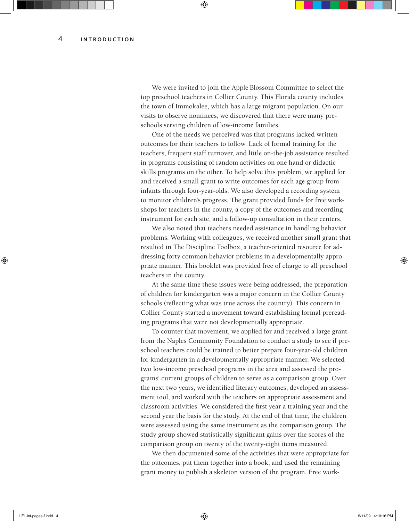We were invited to join the Apple Blossom Committee to select the top preschool teachers in Collier County. This Florida county includes the town of Immokalee, which has a large migrant population. On our visits to observe nominees, we discovered that there were many preschools serving children of low-income families.

One of the needs we perceived was that programs lacked written outcomes for their teachers to follow. Lack of formal training for the teachers, frequent staff turnover, and little on-the-job assistance resulted in programs consisting of random activities on one hand or didactic skills programs on the other. To help solve this problem, we applied for and received a small grant to write outcomes for each age group from infants through four-year-olds. We also developed a recording system to monitor children's progress. The grant provided funds for free workshops for teachers in the county, a copy of the outcomes and recording instrument for each site, and a follow-up consultation in their centers.

We also noted that teachers needed assistance in handling behavior problems. Working with colleagues, we received another small grant that resulted in The Discipline Toolbox, a teacher-oriented resource for addressing forty common behavior problems in a developmentally appropriate manner. This booklet was provided free of charge to all preschool teachers in the county.

At the same time these issues were being addressed, the preparation of children for kindergarten was a major concern in the Collier County schools (reflecting what was true across the country). This concern in Collier County started a movement toward establishing formal prereading programs that were not developmentally appropriate.

To counter that movement, we applied for and received a large grant from the Naples Community Foundation to conduct a study to see if preschool teachers could be trained to better prepare four-year-old children for kindergarten in a developmentally appropriate manner. We selected two low-income preschool programs in the area and assessed the programs' current groups of children to serve as a comparison group. Over the next two years, we identified literacy outcomes, developed an assessment tool, and worked with the teachers on appropriate assessment and classroom activities. We considered the first year a training year and the second year the basis for the study. At the end of that time, the children were assessed using the same instrument as the comparison group. The study group showed statistically significant gains over the scores of the comparison group on twenty of the twenty-eight items measured.

We then documented some of the activities that were appropriate for the outcomes, put them together into a book, and used the remaining grant money to publish a skeleton version of the program. Free work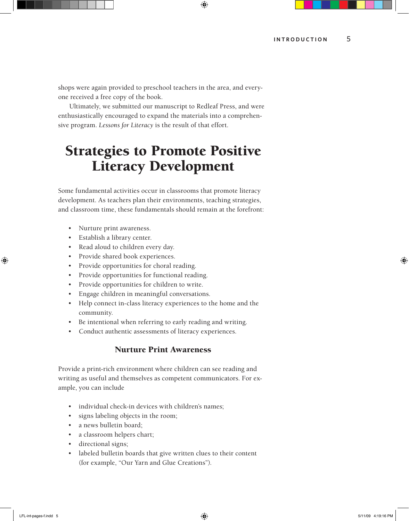shops were again provided to preschool teachers in the area, and everyone received a free copy of the book.

Ultimately, we submitted our manuscript to Redleaf Press, and were enthusiastically encouraged to expand the materials into a comprehensive program. *Lessons for Literacy* is the result of that effort.

# Strategies to Promote Positive Literacy Development

Some fundamental activities occur in classrooms that promote literacy development. As teachers plan their environments, teaching strategies, and classroom time, these fundamentals should remain at the forefront:

- Nurture print awareness.
- Establish a library center.
- Read aloud to children every day.
- Provide shared book experiences.
- Provide opportunities for choral reading.
- Provide opportunities for functional reading.
- Provide opportunities for children to write.
- Engage children in meaningful conversations.
- Help connect in-class literacy experiences to the home and the community.
- Be intentional when referring to early reading and writing.
- Conduct authentic assessments of literacy experiences.

#### Nurture Print Awareness

Provide a print-rich environment where children can see reading and writing as useful and themselves as competent communicators. For example, you can include

- individual check-in devices with children's names;
- signs labeling objects in the room;
- a news bulletin board;
- a classroom helpers chart;
- directional signs;
- labeled bulletin boards that give written clues to their content (for example, "Our Yarn and Glue Creations").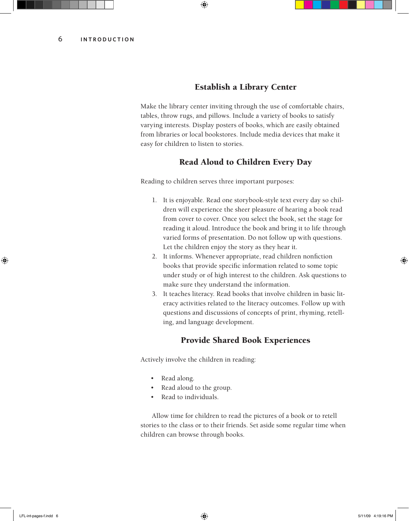#### Establish a Library Center

Make the library center inviting through the use of comfortable chairs, tables, throw rugs, and pillows. Include a variety of books to satisfy varying interests. Display posters of books, which are easily obtained from libraries or local bookstores. Include media devices that make it easy for children to listen to stories.

#### Read Aloud to Children Every Day

Reading to children serves three important purposes:

- 1. It is enjoyable. Read one storybook-style text every day so children will experience the sheer pleasure of hearing a book read from cover to cover. Once you select the book, set the stage for reading it aloud. Introduce the book and bring it to life through varied forms of presentation. Do not follow up with questions. Let the children enjoy the story as they hear it.
- 2. It informs. Whenever appropriate, read children nonfiction books that provide specific information related to some topic under study or of high interest to the children. Ask questions to make sure they understand the information.
- 3. It teaches literacy. Read books that involve children in basic literacy activities related to the literacy outcomes. Follow up with questions and discussions of concepts of print, rhyming, retelling, and language development.

### Provide Shared Book Experiences

Actively involve the children in reading:

- Read along.
- Read aloud to the group.
- Read to individuals.

Allow time for children to read the pictures of a book or to retell stories to the class or to their friends. Set aside some regular time when children can browse through books.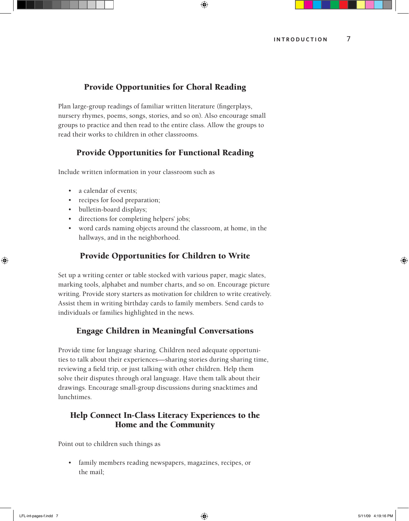# Provide Opportunities for Choral Reading

Plan large-group readings of familiar written literature (fingerplays, nursery rhymes, poems, songs, stories, and so on). Also encourage small groups to practice and then read to the entire class. Allow the groups to read their works to children in other classrooms.

### Provide Opportunities for Functional Reading

Include written information in your classroom such as

- a calendar of events:
- recipes for food preparation;
- bulletin-board displays;
- directions for completing helpers' jobs;
- word cards naming objects around the classroom, at home, in the hallways, and in the neighborhood.

### Provide Opportunities for Children to Write

Set up a writing center or table stocked with various paper, magic slates, marking tools, alphabet and number charts, and so on. Encourage picture writing. Provide story starters as motivation for children to write creatively. Assist them in writing birthday cards to family members. Send cards to individuals or families highlighted in the news.

## Engage Children in Meaningful Conversations

Provide time for language sharing. Children need adequate opportunities to talk about their experiences—sharing stories during sharing time, reviewing a field trip, or just talking with other children. Help them solve their disputes through oral language. Have them talk about their drawings. Encourage small-group discussions during snacktimes and lunchtimes.

### Help Connect In-Class Literacy Experiences to the Home and the Community

Point out to children such things as

• family members reading newspapers, magazines, recipes, or the mail;